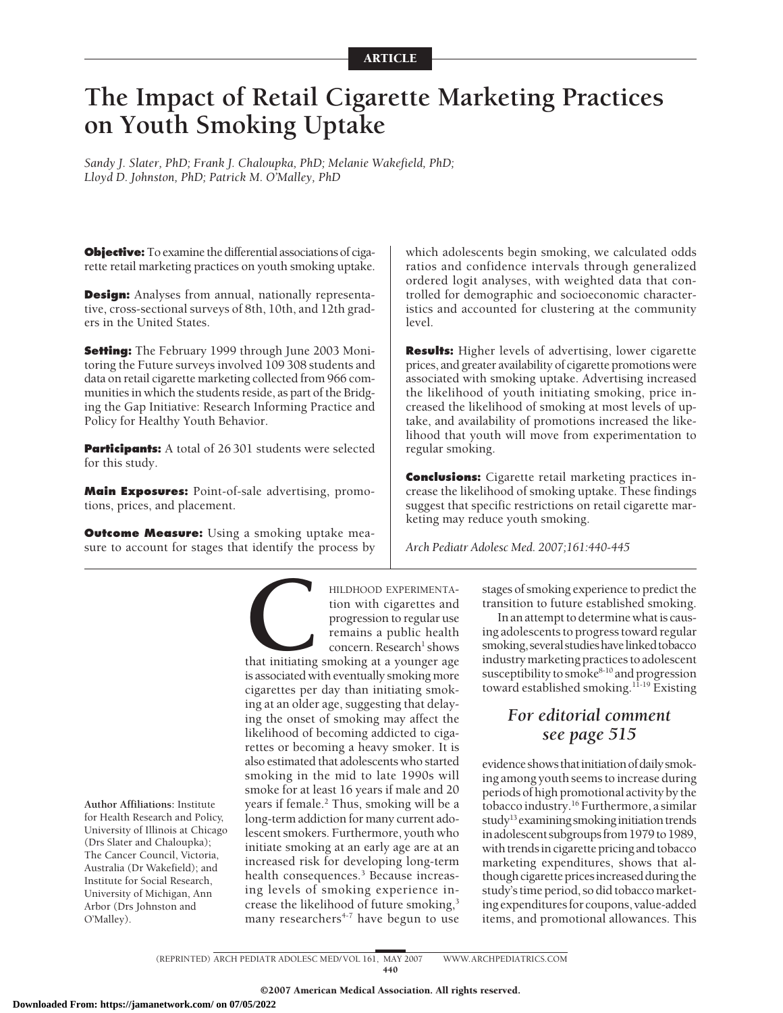# **The Impact of Retail Cigarette Marketing Practices on Youth Smoking Uptake**

*Sandy J. Slater, PhD; Frank J. Chaloupka, PhD; Melanie Wakefield, PhD; Lloyd D. Johnston, PhD; Patrick M. O'Malley, PhD*

**Objective:** To examine the differential associations of cigarette retail marketing practices on youth smoking uptake.

**Design:** Analyses from annual, nationally representative, cross-sectional surveys of 8th, 10th, and 12th graders in the United States.

**Setting:** The February 1999 through June 2003 Monitoring the Future surveys involved 109 308 students and data on retail cigarette marketing collected from 966 communities in which the students reside, as part of the Bridging the Gap Initiative: Research Informing Practice and Policy for Healthy Youth Behavior.

**Participants:** A total of 26 301 students were selected for this study.

**Main Exposures:** Point-of-sale advertising, promotions, prices, and placement.

**Outcome Measure:** Using a smoking uptake measure to account for stages that identify the process by which adolescents begin smoking, we calculated odds ratios and confidence intervals through generalized ordered logit analyses, with weighted data that controlled for demographic and socioeconomic characteristics and accounted for clustering at the community level.

**Results:** Higher levels of advertising, lower cigarette prices, and greater availability of cigarette promotions were associated with smoking uptake. Advertising increased the likelihood of youth initiating smoking, price increased the likelihood of smoking at most levels of uptake, and availability of promotions increased the likelihood that youth will move from experimentation to regular smoking.

**Conclusions:** Cigarette retail marketing practices increase the likelihood of smoking uptake. These findings suggest that specific restrictions on retail cigarette marketing may reduce youth smoking.

*Arch Pediatr Adolesc Med. 2007;161:440-445*

**CONDUCTERT**<br>
EXPERIMENTA-<br>
tion with cigarettes and<br>
progression to regular use<br>
remains a public health<br>
concern. Research<sup>1</sup> shows<br>
that initiating smoking at a younger age<br>
is associated with eventually smoking more tion with cigarettes and progression to regular use remains a public health concern. Research<sup>1</sup> shows

is associated with eventually smoking more cigarettes per day than initiating smoking at an older age, suggesting that delaying the onset of smoking may affect the likelihood of becoming addicted to cigarettes or becoming a heavy smoker. It is also estimated that adolescents who started smoking in the mid to late 1990s will smoke for at least 16 years if male and 20 years if female.<sup>2</sup> Thus, smoking will be a long-term addiction for many current adolescent smokers. Furthermore, youth who initiate smoking at an early age are at an increased risk for developing long-term health consequences.<sup>3</sup> Because increasing levels of smoking experience increase the likelihood of future smoking,<sup>3</sup> many researchers $4-7$  have begun to use

stages of smoking experience to predict the transition to future established smoking.

In an attempt to determine what is causing adolescents to progress toward regular smoking, several studies have linked tobacco industry marketing practices to adolescent susceptibility to smoke $8-10$  and progression toward established smoking.<sup>11-19</sup> Existing

# *For editorial comment see page 515*

evidenceshowsthatinitiationofdailysmoking among youth seems to increase during periods of high promotional activity by the tobacco industry.<sup>16</sup> Furthermore, a similar study<sup>13</sup> examining smoking initiation trends in adolescent subgroups from 1979 to 1989, with trends in cigarette pricing and tobacco marketing expenditures, shows that although cigarette prices increased during the study's time period, so did tobacco marketing expenditures for coupons, value-added items, and promotional allowances. This

**Author Affiliations:** Institute for Health Research and Policy, University of Illinois at Chicago (Drs Slater and Chaloupka); The Cancer Council, Victoria, Australia (Dr Wakefield); and Institute for Social Research, University of Michigan, Ann Arbor (Drs Johnston and O'Malley).

440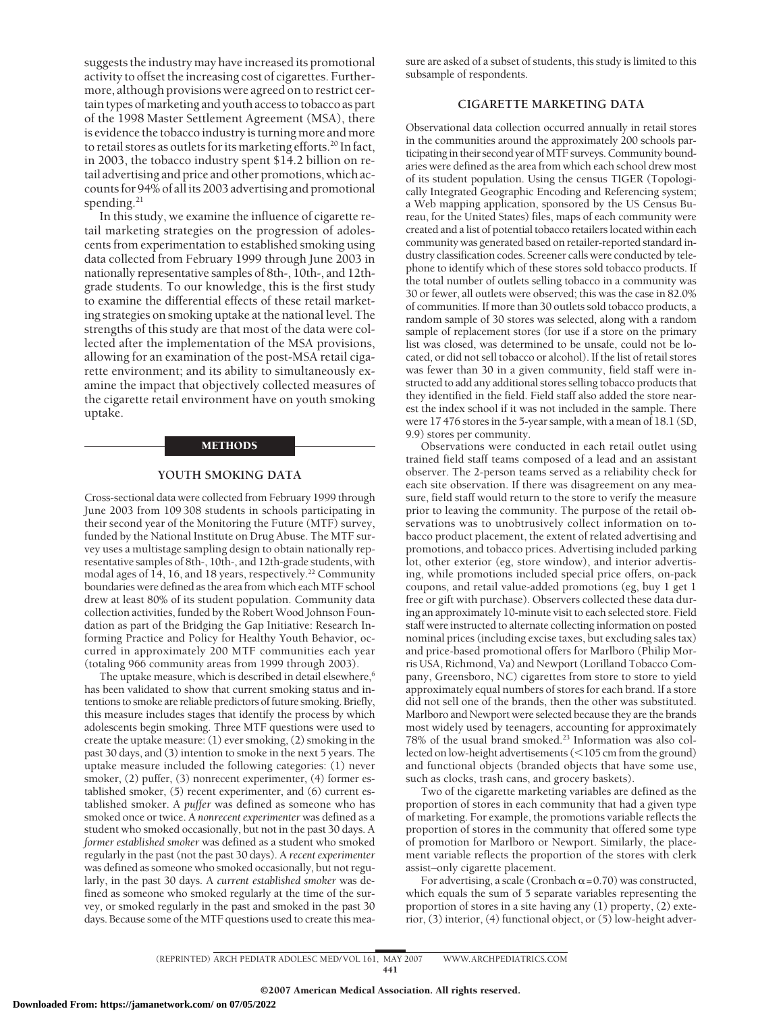suggests the industry may have increased its promotional activity to offset the increasing cost of cigarettes. Furthermore, although provisions were agreed on to restrict certain types of marketing and youth access to tobacco as part of the 1998 Master Settlement Agreement (MSA), there is evidence the tobacco industry is turning more and more to retail stores as outlets for its marketing efforts.<sup>20</sup> In fact, in 2003, the tobacco industry spent \$14.2 billion on retail advertising and price and other promotions, which accounts for 94% of all its 2003 advertising and promotional spending.<sup>21</sup>

In this study, we examine the influence of cigarette retail marketing strategies on the progression of adolescents from experimentation to established smoking using data collected from February 1999 through June 2003 in nationally representative samples of 8th-, 10th-, and 12thgrade students. To our knowledge, this is the first study to examine the differential effects of these retail marketing strategies on smoking uptake at the national level. The strengths of this study are that most of the data were collected after the implementation of the MSA provisions, allowing for an examination of the post-MSA retail cigarette environment; and its ability to simultaneously examine the impact that objectively collected measures of the cigarette retail environment have on youth smoking uptake.

#### METHODS

#### **YOUTH SMOKING DATA**

Cross-sectional data were collected from February 1999 through June 2003 from 109 308 students in schools participating in their second year of the Monitoring the Future (MTF) survey, funded by the National Institute on Drug Abuse. The MTF survey uses a multistage sampling design to obtain nationally representative samples of 8th-, 10th-, and 12th-grade students, with modal ages of 14, 16, and 18 years, respectively.<sup>22</sup> Community boundaries were defined as the area from which each MTF school drew at least 80% of its student population. Community data collection activities, funded by the Robert Wood Johnson Foundation as part of the Bridging the Gap Initiative: Research Informing Practice and Policy for Healthy Youth Behavior, occurred in approximately 200 MTF communities each year (totaling 966 community areas from 1999 through 2003).

The uptake measure, which is described in detail elsewhere,<sup>6</sup> has been validated to show that current smoking status and intentions to smoke are reliable predictors of future smoking. Briefly, this measure includes stages that identify the process by which adolescents begin smoking. Three MTF questions were used to create the uptake measure: (1) ever smoking, (2) smoking in the past 30 days, and (3) intention to smoke in the next 5 years. The uptake measure included the following categories: (1) never smoker, (2) puffer, (3) nonrecent experimenter, (4) former established smoker, (5) recent experimenter, and (6) current established smoker. A *puffer* was defined as someone who has smoked once or twice. A *nonrecent experimenter* was defined as a student who smoked occasionally, but not in the past 30 days. A *former established smoker* was defined as a student who smoked regularly in the past (not the past 30 days). A *recent experimenter* was defined as someone who smoked occasionally, but not regularly, in the past 30 days. A *current established smoker* was defined as someone who smoked regularly at the time of the survey, or smoked regularly in the past and smoked in the past 30 days. Because some of the MTF questions used to create this measure are asked of a subset of students, this study is limited to this subsample of respondents.

## **CIGARETTE MARKETING DATA**

Observational data collection occurred annually in retail stores in the communities around the approximately 200 schools participating in their second year of MTF surveys. Community boundaries were defined as the area from which each school drew most of its student population. Using the census TIGER (Topologically Integrated Geographic Encoding and Referencing system; a Web mapping application, sponsored by the US Census Bureau, for the United States) files, maps of each community were created and a list of potential tobacco retailers located within each community was generated based on retailer-reported standard industry classification codes. Screener calls were conducted by telephone to identify which of these stores sold tobacco products. If the total number of outlets selling tobacco in a community was 30 or fewer, all outlets were observed; this was the case in 82.0% of communities. If more than 30 outlets sold tobacco products, a random sample of 30 stores was selected, along with a random sample of replacement stores (for use if a store on the primary list was closed, was determined to be unsafe, could not be located, or did not sell tobacco or alcohol). If the list of retail stores was fewer than 30 in a given community, field staff were instructed to add any additional stores selling tobacco products that they identified in the field. Field staff also added the store nearest the index school if it was not included in the sample. There were 17 476 stores in the 5-year sample, with a mean of 18.1 (SD, 9.9) stores per community.

Observations were conducted in each retail outlet using trained field staff teams composed of a lead and an assistant observer. The 2-person teams served as a reliability check for each site observation. If there was disagreement on any measure, field staff would return to the store to verify the measure prior to leaving the community. The purpose of the retail observations was to unobtrusively collect information on tobacco product placement, the extent of related advertising and promotions, and tobacco prices. Advertising included parking lot, other exterior (eg, store window), and interior advertising, while promotions included special price offers, on-pack coupons, and retail value-added promotions (eg, buy 1 get 1 free or gift with purchase). Observers collected these data during an approximately 10-minute visit to each selected store. Field staff were instructed to alternate collecting information on posted nominal prices (including excise taxes, but excluding sales tax) and price-based promotional offers for Marlboro (Philip Morris USA, Richmond, Va) and Newport (Lorilland Tobacco Company, Greensboro, NC) cigarettes from store to store to yield approximately equal numbers of stores for each brand. If a store did not sell one of the brands, then the other was substituted. Marlboro and Newport were selected because they are the brands most widely used by teenagers, accounting for approximately 78% of the usual brand smoked.23 Information was also collected on low-height advertisements  $(<105$  cm from the ground) and functional objects (branded objects that have some use, such as clocks, trash cans, and grocery baskets).

Two of the cigarette marketing variables are defined as the proportion of stores in each community that had a given type of marketing. For example, the promotions variable reflects the proportion of stores in the community that offered some type of promotion for Marlboro or Newport. Similarly, the placement variable reflects the proportion of the stores with clerk assist–only cigarette placement.

For advertising, a scale (Cronbach  $\alpha$  = 0.70) was constructed, which equals the sum of 5 separate variables representing the proportion of stores in a site having any (1) property, (2) exterior, (3) interior, (4) functional object, or (5) low-height adver-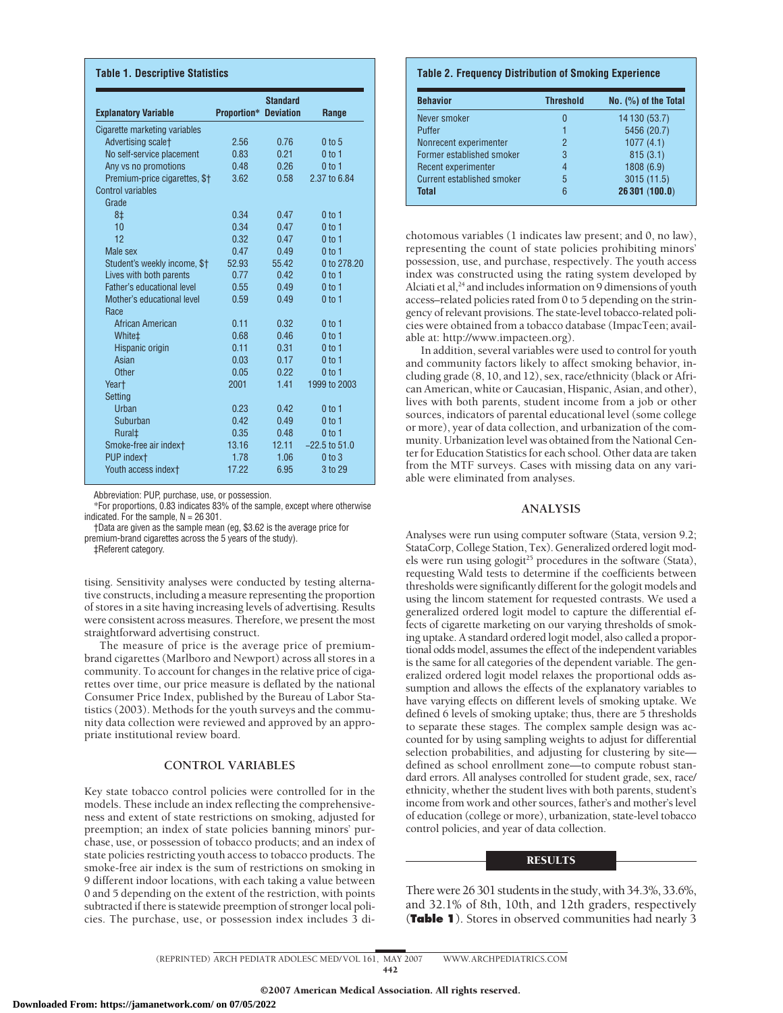| <b>Explanatory Variable</b>       | <b>Proportion* Deviation</b> | <b>Standard</b> | Range             |
|-----------------------------------|------------------------------|-----------------|-------------------|
| Cigarette marketing variables     |                              |                 |                   |
| Advertising scalet                | 2.56                         | 0.76            | $0$ to $5$        |
| No self-service placement         | 0.83                         | 0.21            | $0$ to 1          |
| Any vs no promotions              | 0.48                         | 0.26            | 0 <sub>to 1</sub> |
| Premium-price cigarettes, \$†     | 3.62                         | 0.58            | 2.37 to 6.84      |
| <b>Control variables</b>          |                              |                 |                   |
| Grade                             |                              |                 |                   |
| 8‡                                | 0.34                         | 0.47            | $0$ to 1          |
| 10                                | 0.34                         | 0.47            | $0$ to 1          |
| 12                                | 0.32                         | 0.47            | $0$ to 1          |
| Male sex                          | 0.47                         | 0.49            | 0 <sub>to 1</sub> |
| Student's weekly income, \$†      | 52.93                        | 55.42           | 0 to 278.20       |
| Lives with both parents           | 0.77                         | 0.42            | $0$ to 1          |
| <b>Father's educational level</b> | 0.55                         | 0.49            | 0 <sub>to 1</sub> |
| Mother's educational level        | 0.59                         | 0.49            | $0$ to 1          |
| Race                              |                              |                 |                   |
| African American                  | 0.11                         | 0.32            | $0$ to 1          |
| White <sup>+</sup>                | 0.68                         | 0.46            | $0$ to 1          |
| Hispanic origin                   | 0.11                         | 0.31            | 0 <sub>to 1</sub> |
| Asian                             | 0.03                         | 0.17            | $0$ to 1          |
| Other                             | 0.05                         | 0.22            | $0$ to 1          |
| Yeart                             | 2001                         | 1.41            | 1999 to 2003      |
| Setting                           |                              |                 |                   |
| <b>Urban</b>                      | 0.23                         | 0.42            | 0 <sub>to 1</sub> |
| Suburban                          | 0.42                         | 0.49            | $0$ to 1          |
| Rural <sup>±</sup>                | 0.35                         | 0.48            | $0$ to 1          |
| Smoke-free air indext             | 13.16                        | 12.11           | $-22.5$ to $51.0$ |
| PUP indext                        | 1.78                         | 1.06            | $0$ to $3$        |
| Youth access indext               | 17.22                        | 6.95            | 3 to 29           |

Abbreviation: PUP, purchase, use, or possession.

\*For proportions, 0.83 indicates 83% of the sample, except where otherwise indicated. For the sample,  $N = 26301$ .

†Data are given as the sample mean (eg, \$3.62 is the average price for premium-brand cigarettes across the 5 years of the study).

‡Referent category.

tising. Sensitivity analyses were conducted by testing alternative constructs, including a measure representing the proportion of stores in a site having increasing levels of advertising. Results were consistent across measures. Therefore, we present the most straightforward advertising construct.

The measure of price is the average price of premiumbrand cigarettes (Marlboro and Newport) across all stores in a community. To account for changes in the relative price of cigarettes over time, our price measure is deflated by the national Consumer Price Index, published by the Bureau of Labor Statistics (2003). Methods for the youth surveys and the community data collection were reviewed and approved by an appropriate institutional review board.

#### **CONTROL VARIABLES**

Key state tobacco control policies were controlled for in the models. These include an index reflecting the comprehensiveness and extent of state restrictions on smoking, adjusted for preemption; an index of state policies banning minors' purchase, use, or possession of tobacco products; and an index of state policies restricting youth access to tobacco products. The smoke-free air index is the sum of restrictions on smoking in 9 different indoor locations, with each taking a value between 0 and 5 depending on the extent of the restriction, with points subtracted if there is statewide preemption of stronger local policies. The purchase, use, or possession index includes 3 di-

#### **Table 2. Frequency Distribution of Smoking Experience**

| <b>Behavior</b>                   | <b>Threshold</b> | $No.$ $(\%)$ of the Total |
|-----------------------------------|------------------|---------------------------|
| Never smoker                      | 0                | 14 130 (53.7)             |
| Puffer                            |                  | 5456 (20.7)               |
| Nonrecent experimenter            | 2                | 1077(4.1)                 |
| Former established smoker         | 3                | 815(3.1)                  |
| Recent experimenter               | 4                | 1808 (6.9)                |
| <b>Current established smoker</b> | 5                | 3015 (11.5)               |
| <b>Total</b>                      | 6                | 26 301 (100.0)            |

chotomous variables (1 indicates law present; and 0, no law), representing the count of state policies prohibiting minors' possession, use, and purchase, respectively. The youth access index was constructed using the rating system developed by Alciati et al, $24$  and includes information on 9 dimensions of youth access–related policies rated from 0 to 5 depending on the stringency of relevant provisions. The state-level tobacco-related policies were obtained from a tobacco database (ImpacTeen; available at: http://www.impacteen.org).

In addition, several variables were used to control for youth and community factors likely to affect smoking behavior, including grade (8, 10, and 12), sex, race/ethnicity (black or African American, white or Caucasian, Hispanic, Asian, and other), lives with both parents, student income from a job or other sources, indicators of parental educational level (some college or more), year of data collection, and urbanization of the community. Urbanization level was obtained from the National Center for Education Statistics for each school. Other data are taken from the MTF surveys. Cases with missing data on any variable were eliminated from analyses.

#### **ANALYSIS**

Analyses were run using computer software (Stata, version 9.2; StataCorp, College Station, Tex). Generalized ordered logit models were run using gologit<sup>25</sup> procedures in the software (Stata), requesting Wald tests to determine if the coefficients between thresholds were significantly different for the gologit models and using the lincom statement for requested contrasts. We used a generalized ordered logit model to capture the differential effects of cigarette marketing on our varying thresholds of smoking uptake. A standard ordered logit model, also called a proportional odds model, assumes the effect of the independent variables is the same for all categories of the dependent variable. The generalized ordered logit model relaxes the proportional odds assumption and allows the effects of the explanatory variables to have varying effects on different levels of smoking uptake. We defined 6 levels of smoking uptake; thus, there are 5 thresholds to separate these stages. The complex sample design was accounted for by using sampling weights to adjust for differential selection probabilities, and adjusting for clustering by site defined as school enrollment zone—to compute robust standard errors. All analyses controlled for student grade, sex, race/ ethnicity, whether the student lives with both parents, student's income from work and other sources, father's and mother's level of education (college or more), urbanization, state-level tobacco control policies, and year of data collection.

### **RESULTS**

There were 26 301 students in the study, with 34.3%, 33.6%, and 32.1% of 8th, 10th, and 12th graders, respectively (**Table 1**). Stores in observed communities had nearly 3

(REPRINTED) ARCH PEDIATR ADOLESC MED/ VOL 161, MAY 2007 WWW.ARCHPEDIATRICS.COM 442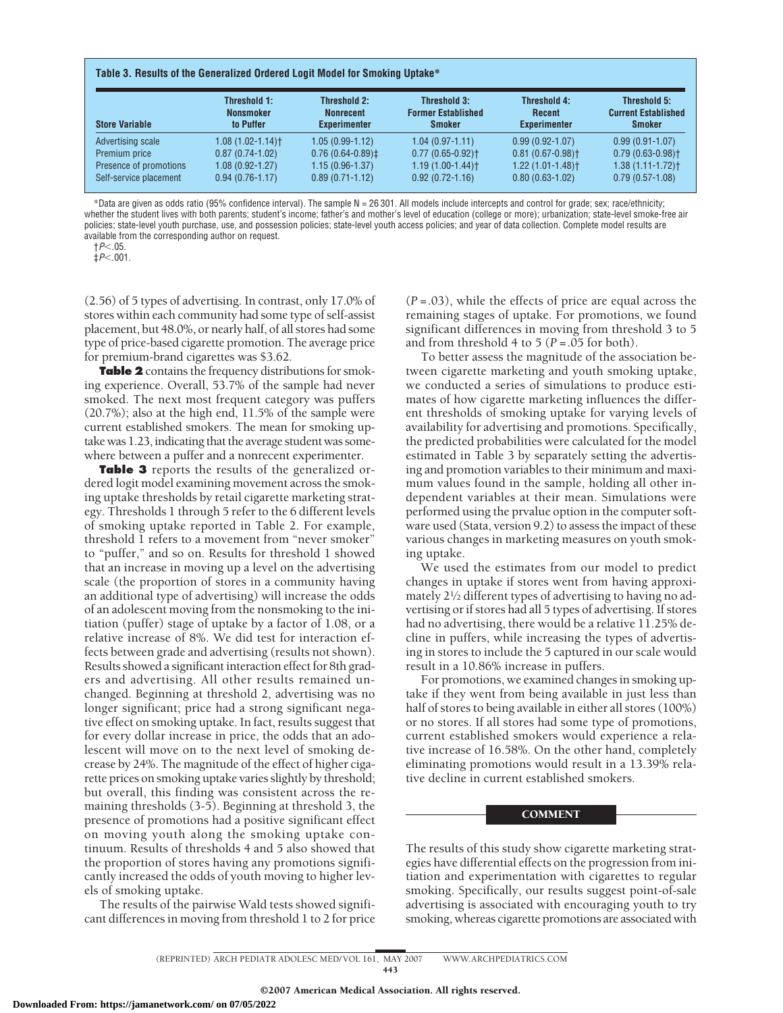| <b>Store Variable</b>  | Threshold 1:<br><b>Nonsmoker</b><br>to Puffer | <b>Threshold 2:</b><br><b>Nonrecent</b><br><b>Experimenter</b> | Threshold 3:<br><b>Former Established</b><br><b>Smoker</b> | <b>Threshold 4:</b><br><b>Recent</b><br><b>Experimenter</b> | Threshold 5:<br><b>Current Established</b><br><b>Smoker</b> |
|------------------------|-----------------------------------------------|----------------------------------------------------------------|------------------------------------------------------------|-------------------------------------------------------------|-------------------------------------------------------------|
| Advertising scale      | $1.08(1.02 - 1.14)$                           | $1.05(0.99-1.12)$                                              | $1.04(0.97 - 1.11)$                                        | $0.99(0.92 - 1.07)$                                         | $0.99(0.91 - 1.07)$                                         |
| Premium price          | $0.87(0.74-1.02)$                             | $0.76(0.64-0.89)$                                              | $0.77(0.65 - 0.92)$                                        | $0.81(0.67 - 0.98)$                                         | $0.79(0.63 - 0.98)$ <sup>+</sup>                            |
| Presence of promotions | $1.08(0.92 - 1.27)$                           | $1.15(0.96-1.37)$                                              | $1.19(1.00-1.44)$                                          | $1.22(1.01-1.48)$ <sup>+</sup>                              | $1.38(1.11 - 1.72)$                                         |
| Self-service placement | $0.94(0.76 - 1.17)$                           | $0.89(0.71 - 1.12)$                                            | $0.92(0.72 - 1.16)$                                        | $0.80(0.63 - 1.02)$                                         | $0.79(0.57 - 1.08)$                                         |

\*Data are given as odds ratio (95% confidence interval). The sample N = 26 301. All models include intercepts and control for grade; sex; race/ethnicity; whether the student lives with both parents; student's income; father's and mother's level of education (college or more); urbanization; state-level smoke-free air policies; state-level youth purchase, use, and possession policies; state-level youth access policies; and year of data collection. Complete model results are available from the corresponding author on request.

†*P*.05.

 $\dot{\pm}P$  <.001.

(2.56) of 5 types of advertising. In contrast, only 17.0% of stores within each community had some type of self-assist placement, but 48.0%, or nearly half, of all stores had some type of price-based cigarette promotion. The average price for premium-brand cigarettes was \$3.62.

**Table 2** contains the frequency distributions for smoking experience. Overall, 53.7% of the sample had never smoked. The next most frequent category was puffers (20.7%); also at the high end, 11.5% of the sample were current established smokers. The mean for smoking uptake was 1.23, indicating that the average student was somewhere between a puffer and a nonrecent experimenter.

**Table 3** reports the results of the generalized ordered logit model examining movement across the smoking uptake thresholds by retail cigarette marketing strategy. Thresholds 1 through 5 refer to the 6 different levels of smoking uptake reported in Table 2. For example, threshold 1 refers to a movement from "never smoker" to "puffer," and so on. Results for threshold 1 showed that an increase in moving up a level on the advertising scale (the proportion of stores in a community having an additional type of advertising) will increase the odds of an adolescent moving from the nonsmoking to the initiation (puffer) stage of uptake by a factor of 1.08, or a relative increase of 8%. We did test for interaction effects between grade and advertising (results not shown). Results showed a significant interaction effect for 8th graders and advertising. All other results remained unchanged. Beginning at threshold 2, advertising was no longer significant; price had a strong significant negative effect on smoking uptake. In fact, results suggest that for every dollar increase in price, the odds that an adolescent will move on to the next level of smoking decrease by 24%. The magnitude of the effect of higher cigarette prices on smoking uptake varies slightly by threshold; but overall, this finding was consistent across the remaining thresholds (3-5). Beginning at threshold 3, the presence of promotions had a positive significant effect on moving youth along the smoking uptake continuum. Results of thresholds 4 and 5 also showed that the proportion of stores having any promotions significantly increased the odds of youth moving to higher levels of smoking uptake.

The results of the pairwise Wald tests showed significant differences in moving from threshold 1 to 2 for price

(*P* =.03), while the effects of price are equal across the remaining stages of uptake. For promotions, we found significant differences in moving from threshold 3 to 5 and from threshold 4 to 5 ( $P = .05$  for both).

To better assess the magnitude of the association between cigarette marketing and youth smoking uptake, we conducted a series of simulations to produce estimates of how cigarette marketing influences the different thresholds of smoking uptake for varying levels of availability for advertising and promotions. Specifically, the predicted probabilities were calculated for the model estimated in Table 3 by separately setting the advertising and promotion variables to their minimum and maximum values found in the sample, holding all other independent variables at their mean. Simulations were performed using the prvalue option in the computer software used (Stata, version 9.2) to assess the impact of these various changes in marketing measures on youth smoking uptake.

We used the estimates from our model to predict changes in uptake if stores went from having approximately 21⁄2 different types of advertising to having no advertising or if stores had all 5 types of advertising. If stores had no advertising, there would be a relative 11.25% decline in puffers, while increasing the types of advertising in stores to include the 5 captured in our scale would result in a 10.86% increase in puffers.

For promotions, we examined changes in smoking uptake if they went from being available in just less than half of stores to being available in either all stores (100%) or no stores. If all stores had some type of promotions, current established smokers would experience a relative increase of 16.58%. On the other hand, completely eliminating promotions would result in a 13.39% relative decline in current established smokers.

#### **COMMENT**

The results of this study show cigarette marketing strategies have differential effects on the progression from initiation and experimentation with cigarettes to regular smoking. Specifically, our results suggest point-of-sale advertising is associated with encouraging youth to try smoking, whereas cigarette promotions are associated with

(REPRINTED) ARCH PEDIATR ADOLESC MED/ VOL 161, MAY 2007 WWW.ARCHPEDIATRICS.COM 443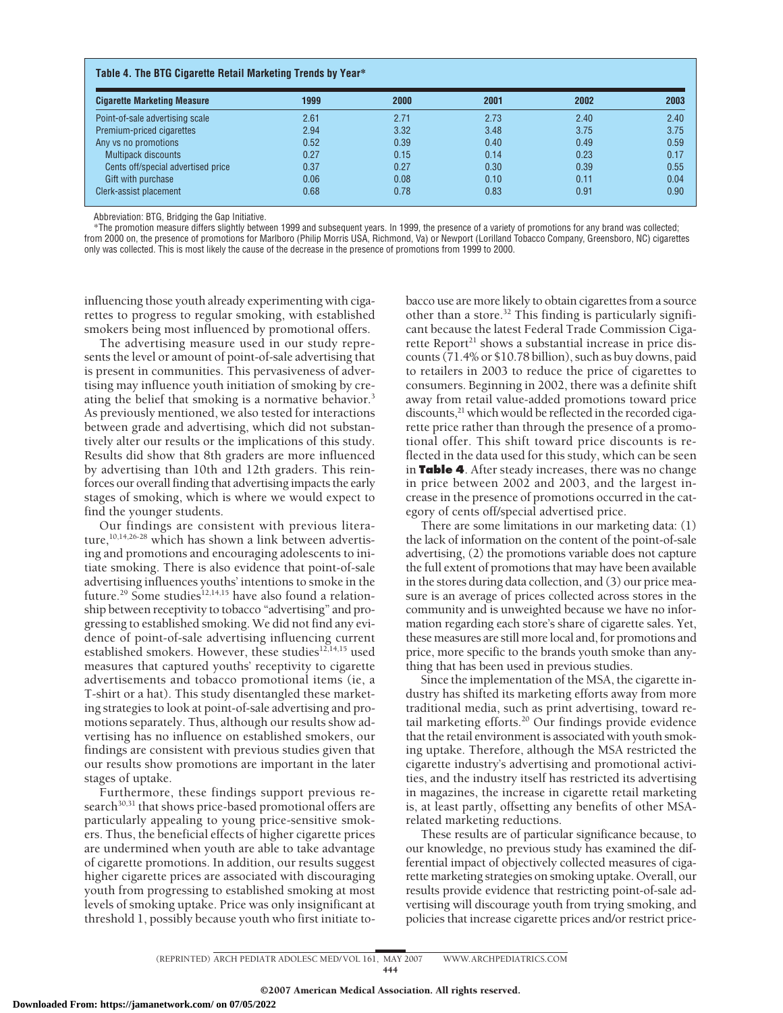| <b>Cigarette Marketing Measure</b> | 1999 | 2000 | 2001 | 2002 | 2003 |
|------------------------------------|------|------|------|------|------|
| Point-of-sale advertising scale    | 2.61 | 2.71 | 2.73 | 2.40 | 2.40 |
| Premium-priced cigarettes          | 2.94 | 3.32 | 3.48 | 3.75 | 3.75 |
| Any vs no promotions               | 0.52 | 0.39 | 0.40 | 0.49 | 0.59 |
| <b>Multipack discounts</b>         | 0.27 | 0.15 | 0.14 | 0.23 | 0.17 |
| Cents off/special advertised price | 0.37 | 0.27 | 0.30 | 0.39 | 0.55 |
| Gift with purchase                 | 0.06 | 0.08 | 0.10 | 0.11 | 0.04 |
| Clerk-assist placement             | 0.68 | 0.78 | 0.83 | 0.91 | 0.90 |

Abbreviation: BTG, Bridging the Gap Initiative.

\*The promotion measure differs slightly between 1999 and subsequent years. In 1999, the presence of a variety of promotions for any brand was collected; from 2000 on, the presence of promotions for Marlboro (Philip Morris USA, Richmond, Va) or Newport (Lorilland Tobacco Company, Greensboro, NC) cigarettes only was collected. This is most likely the cause of the decrease in the presence of promotions from 1999 to 2000.

influencing those youth already experimenting with cigarettes to progress to regular smoking, with established smokers being most influenced by promotional offers.

The advertising measure used in our study represents the level or amount of point-of-sale advertising that is present in communities. This pervasiveness of advertising may influence youth initiation of smoking by creating the belief that smoking is a normative behavior.3 As previously mentioned, we also tested for interactions between grade and advertising, which did not substantively alter our results or the implications of this study. Results did show that 8th graders are more influenced by advertising than 10th and 12th graders. This reinforces our overall finding that advertising impacts the early stages of smoking, which is where we would expect to find the younger students.

Our findings are consistent with previous literature,<sup>10,14,26-28</sup> which has shown a link between advertising and promotions and encouraging adolescents to initiate smoking. There is also evidence that point-of-sale advertising influences youths' intentions to smoke in the future.<sup>29</sup> Some studies<sup>12,14,15</sup> have also found a relationship between receptivity to tobacco "advertising" and progressing to established smoking. We did not find any evidence of point-of-sale advertising influencing current established smokers. However, these studies<sup>12,14,15</sup> used measures that captured youths' receptivity to cigarette advertisements and tobacco promotional items (ie, a T-shirt or a hat). This study disentangled these marketing strategies to look at point-of-sale advertising and promotions separately. Thus, although our results show advertising has no influence on established smokers, our findings are consistent with previous studies given that our results show promotions are important in the later stages of uptake.

Furthermore, these findings support previous research<sup>30,31</sup> that shows price-based promotional offers are particularly appealing to young price-sensitive smokers. Thus, the beneficial effects of higher cigarette prices are undermined when youth are able to take advantage of cigarette promotions. In addition, our results suggest higher cigarette prices are associated with discouraging youth from progressing to established smoking at most levels of smoking uptake. Price was only insignificant at threshold 1, possibly because youth who first initiate tobacco use are more likely to obtain cigarettes from a source other than a store.32 This finding is particularly significant because the latest Federal Trade Commission Cigarette Report<sup>21</sup> shows a substantial increase in price discounts (71.4% or \$10.78 billion), such as buy downs, paid to retailers in 2003 to reduce the price of cigarettes to consumers. Beginning in 2002, there was a definite shift away from retail value-added promotions toward price discounts,<sup>21</sup> which would be reflected in the recorded cigarette price rather than through the presence of a promotional offer. This shift toward price discounts is reflected in the data used for this study, which can be seen in **Table 4**. After steady increases, there was no change in price between 2002 and 2003, and the largest increase in the presence of promotions occurred in the category of cents off/special advertised price.

There are some limitations in our marketing data: (1) the lack of information on the content of the point-of-sale advertising, (2) the promotions variable does not capture the full extent of promotions that may have been available in the stores during data collection, and (3) our price measure is an average of prices collected across stores in the community and is unweighted because we have no information regarding each store's share of cigarette sales. Yet, these measures are still more local and, for promotions and price, more specific to the brands youth smoke than anything that has been used in previous studies.

Since the implementation of the MSA, the cigarette industry has shifted its marketing efforts away from more traditional media, such as print advertising, toward retail marketing efforts.<sup>20</sup> Our findings provide evidence that the retail environment is associated with youth smoking uptake. Therefore, although the MSA restricted the cigarette industry's advertising and promotional activities, and the industry itself has restricted its advertising in magazines, the increase in cigarette retail marketing is, at least partly, offsetting any benefits of other MSArelated marketing reductions.

These results are of particular significance because, to our knowledge, no previous study has examined the differential impact of objectively collected measures of cigarette marketing strategies on smoking uptake. Overall, our results provide evidence that restricting point-of-sale advertising will discourage youth from trying smoking, and policies that increase cigarette prices and/or restrict price